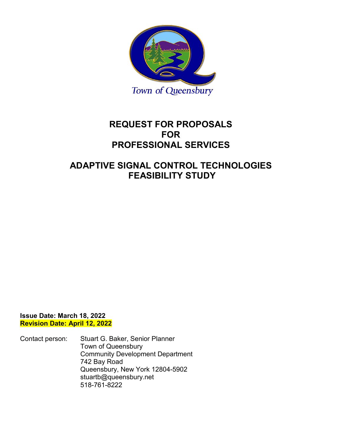

# **REQUEST FOR PROPOSALS FOR PROFESSIONAL SERVICES**

# **ADAPTIVE SIGNAL CONTROL TECHNOLOGIES FEASIBILITY STUDY**

**Issue Date: March 18, 2022 Revision Date: April 12, 2022**

Contact person: Stuart G. Baker, Senior Planner Town of Queensbury Community Development Department 742 Bay Road Queensbury, New York 12804-5902 stuartb@queensbury.net 518-761-8222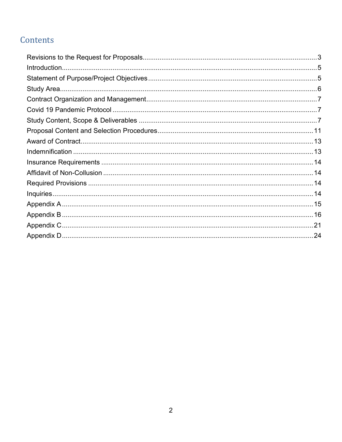# Contents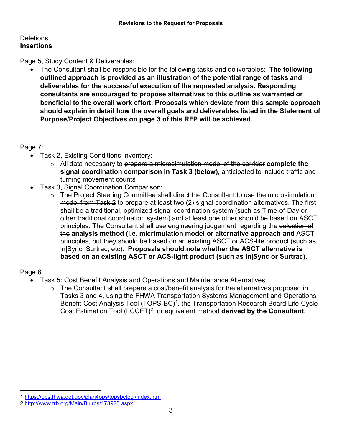# <span id="page-2-0"></span>**Deletions Insertions**

Page 5, Study Content & Deliverables:

• The Consultant shall be responsible for the following tasks and deliverables: **The following outlined approach is provided as an illustration of the potential range of tasks and deliverables for the successful execution of the requested analysis. Responding consultants are encouraged to propose alternatives to this outline as warranted or beneficial to the overall work effort. Proposals which deviate from this sample approach should explain in detail how the overall goals and deliverables listed in the Statement of Purpose/Project Objectives on page 3 of this RFP will be achieved.**

# Page 7:

- Task 2, Existing Conditions Inventory:
	- o All data necessary to prepare a microsimulation model of the corridor **complete the signal coordination comparison in Task 3 (below)**, anticipated to include traffic and turning movement counts
- Task 3, Signal Coordination Comparison:
	- o The Project Steering Committee shall direct the Consultant to use the microsimulation model from Task 2 to prepare at least two (2) signal coordination alternatives. The first shall be a traditional, optimized signal coordination system (such as Time-of-Day or other traditional coordination system) and at least one other should be based on ASCT principles. The Consultant shall use engineering judgement regarding the selection of the **analysis method (i.e. micrimulation model or alternative approach and** ASCT principles, but they should be based on an existing ASCT or ACS-lite product (such as ln|Sync, Surtrac, etc). **Proposals should note whether the ASCT alternative is based on an existing ASCT or ACS-light product (such as In|Sync or Surtrac).**

# Page 8

 $\overline{a}$ 

- Task 5: Cost Benefit Analysis and Operations and Maintenance Alternatives
	- $\circ$  The Consultant shall prepare a cost/benefit analysis for the alternatives proposed in Tasks 3 and 4, using the FHWA Transportation Systems Management and Operations Benefit-Cost Analysis Tool (TOPS-BC)<sup>[1](#page-2-1)</sup>, the Transportation Research Board Life-Cycle Cost Estimation Tool (LCCET)[2](#page-2-2), or equivalent method **derived by the Consultant**.

<span id="page-2-1"></span><sup>1</sup> <https://ops.fhwa.dot.gov/plan4ops/topsbctool/index.htm>

<span id="page-2-2"></span><sup>2</sup> <http://www.trb.org/Main/Blurbs/173928.aspx>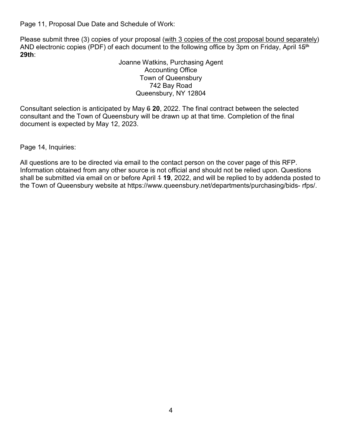Page 11, Proposal Due Date and Schedule of Work:

Please submit three (3) copies of your proposal (with 3 copies of the cost proposal bound separately) AND electronic copies (PDF) of each document to the following office by 3pm on Friday, April 45<sup>th</sup> **29th**:

> Joanne Watkins, Purchasing Agent Accounting Office Town of Queensbury 742 Bay Road Queensbury, NY 12804

Consultant selection is anticipated by May 6 **20**, 2022. The final contract between the selected consultant and the Town of Queensbury will be drawn up at that time. Completion of the final document is expected by May 12, 2023.

Page 14, Inquiries:

All questions are to be directed via email to the contact person on the cover page of this RFP. Information obtained from any other source is not official and should not be relied upon. Questions shall be submitted via email on or before April 4 **19**, 2022, and will be replied to by addenda posted to the Town of Queensbury website at https://www.queensbury.net/departments/purchasing/bids- rfps/.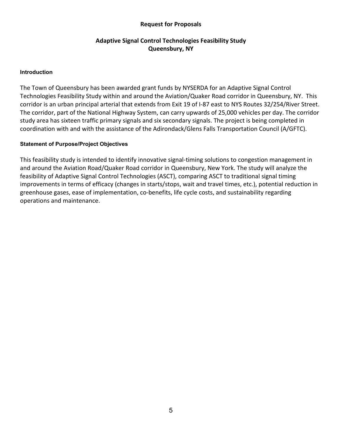## **Request for Proposals**

# **Adaptive Signal Control Technologies Feasibility Study Queensbury, NY**

#### <span id="page-4-0"></span>**Introduction**

The Town of Queensbury has been awarded grant funds by NYSERDA for an Adaptive Signal Control Technologies Feasibility Study within and around the Aviation/Quaker Road corridor in Queensbury, NY. This corridor is an urban principal arterial that extends from Exit 19 of I-87 east to NYS Routes 32/254/River Street. The corridor, part of the National Highway System, can carry upwards of 25,000 vehicles per day. The corridor study area has sixteen traffic primary signals and six secondary signals. The project is being completed in coordination with and with the assistance of the Adirondack/Glens Falls Transportation Council (A/GFTC).

#### <span id="page-4-1"></span>**Statement of Purpose/Project Objectives**

This feasibility study is intended to identify innovative signal-timing solutions to congestion management in and around the Aviation Road/Quaker Road corridor in Queensbury, New York. The study will analyze the feasibility of Adaptive Signal Control Technologies (ASCT), comparing ASCT to traditional signal timing improvements in terms of efficacy (changes in starts/stops, wait and travel times, etc.), potential reduction in greenhouse gases, ease of implementation, co-benefits, life cycle costs, and sustainability regarding operations and maintenance.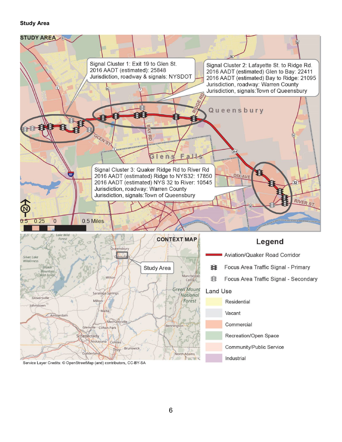#### <span id="page-5-0"></span>**Study Area**



Service Layer Credits: © OpenStreetMap (and) contributors, CC-BY-SA

Schenectady

Guilderlan

Niskayuna

Cohoes

Troy

**Brunswick** 

North Adams

Community/Public Service

Industrial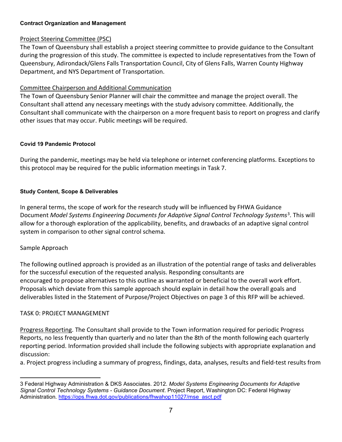## <span id="page-6-0"></span>**Contract Organization and Management**

## Project Steering Committee (PSC)

The Town of Queensbury shall establish a project steering committee to provide guidance to the Consultant during the progression of this study. The committee is expected to include representatives from the Town of Queensbury, Adirondack/Glens Falls Transportation Council, City of Glens Falls, Warren County Highway Department, and NYS Department of Transportation.

## Committee Chairperson and Additional Communication

The Town of Queensbury Senior Planner will chair the committee and manage the project overall. The Consultant shall attend any necessary meetings with the study advisory committee. Additionally, the Consultant shall communicate with the chairperson on a more frequent basis to report on progress and clarify other issues that may occur. Public meetings will be required.

## <span id="page-6-1"></span>**Covid 19 Pandemic Protocol**

During the pandemic, meetings may be held via telephone or internet conferencing platforms. Exceptions to this protocol may be required for the public information meetings in Task 7.

## <span id="page-6-2"></span>**Study Content, Scope & Deliverables**

In general terms, the scope of work for the research study will be influenced by FHWA Guidance Document *Model Systems Engineering Documents for Adaptive Signal Control Technology Systems*[3.](#page-6-3) This will allow for a thorough exploration of the applicability, benefits, and drawbacks of an adaptive signal control system in comparison to other signal control schema.

## Sample Approach

The following outlined approach is provided as an illustration of the potential range of tasks and deliverables for the successful execution of the requested analysis. Responding consultants are encouraged to propose alternatives to this outline as warranted or beneficial to the overall work effort. Proposals which deviate from this sample approach should explain in detail how the overall goals and deliverables listed in the Statement of Purpose/Project Objectives on page 3 of this RFP will be achieved.

## TASK 0: PROJECT MANAGEMENT

Progress Reporting. The Consultant shall provide to the Town information required for periodic Progress Reports, no less frequently than quarterly and no later than the 8th of the month following each quarterly reporting period. Information provided shall include the following subjects with appropriate explanation and discussion:

a. Project progress including a summary of progress, findings, data, analyses, results and field-test results from

<span id="page-6-3"></span> <sup>3</sup> Federal Highway Administration & DKS Associates. 2012. *Model Systems Engineering Documents for Adaptive Signal Control Technology Systems - Guidance Document*. Project Report, Washington DC: Federal Highway Administration. [https://ops.fhwa.dot.gov/publications/fhwahop11027/mse\\_asct.pdf](https://ops.fhwa.dot.gov/publications/fhwahop11027/mse_asct.pdf)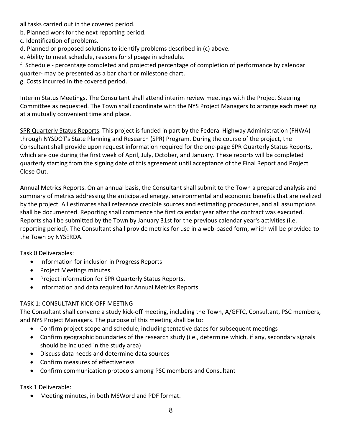all tasks carried out in the covered period.

b. Planned work for the next reporting period.

c. Identification of problems.

d. Planned or proposed solutions to identify problems described in (c) above.

e. Ability to meet schedule, reasons for slippage in schedule.

f. Schedule - percentage completed and projected percentage of completion of performance by calendar

quarter- may be presented as a bar chart or milestone chart.

g. Costs incurred in the covered period.

Interim Status Meetings. The Consultant shall attend interim review meetings with the Project Steering Committee as requested. The Town shall coordinate with the NYS Project Managers to arrange each meeting at a mutually convenient time and place.

SPR Quarterly Status Reports. This project is funded in part by the Federal Highway Administration (FHWA) through NYSDOT's State Planning and Research (SPR) Program. During the course of the project, the Consultant shall provide upon request information required for the one-page SPR Quarterly Status Reports, which are due during the first week of April, July, October, and January. These reports will be completed quarterly starting from the signing date of this agreement until acceptance of the Final Report and Project Close Out.

Annual Metrics Reports. On an annual basis, the Consultant shall submit to the Town a prepared analysis and summary of metrics addressing the anticipated energy, environmental and economic benefits that are realized by the project. All estimates shall reference credible sources and estimating procedures, and all assumptions shall be documented. Reporting shall commence the first calendar year after the contract was executed. Reports shall be submitted by the Town by January 31st for the previous calendar year's activities (i.e. reporting period). The Consultant shall provide metrics for use in a web-based form, which will be provided to the Town by NYSERDA.

Task 0 Deliverables:

- Information for inclusion in Progress Reports
- Project Meetings minutes.
- Project information for SPR Quarterly Status Reports.
- Information and data required for Annual Metrics Reports.

# TASK 1: CONSULTANT KICK-OFF MEETING

The Consultant shall convene a study kick-off meeting, including the Town, A/GFTC, Consultant, PSC members, and NYS Project Managers. The purpose of this meeting shall be to:

- Confirm project scope and schedule, including tentative dates for subsequent meetings
- Confirm geographic boundaries of the research study (i.e., determine which, if any, secondary signals should be included in the study area)
- Discuss data needs and determine data sources
- Confirm measures of effectiveness
- Confirm communication protocols among PSC members and Consultant

Task 1 Deliverable:

• Meeting minutes, in both MSWord and PDF format.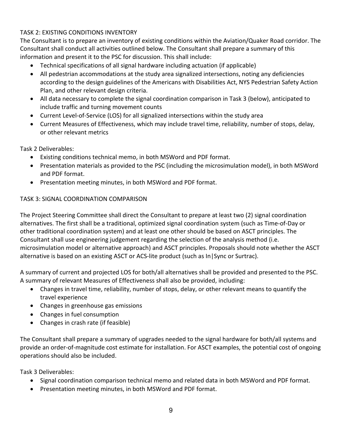# TASK 2: EXISTING CONDITIONS INVENTORY

The Consultant is to prepare an inventory of existing conditions within the Aviation/Quaker Road corridor. The Consultant shall conduct all activities outlined below. The Consultant shall prepare a summary of this information and present it to the PSC for discussion. This shall include:

- Technical specifications of all signal hardware including actuation (if applicable)
- All pedestrian accommodations at the study area signalized intersections, noting any deficiencies according to the design guidelines of the Americans with Disabilities Act, NYS Pedestrian Safety Action Plan, and other relevant design criteria.
- All data necessary to complete the signal coordination comparison in Task 3 (below), anticipated to include traffic and turning movement counts
- Current Level-of-Service (LOS) for all signalized intersections within the study area
- Current Measures of Effectiveness, which may include travel time, reliability, number of stops, delay, or other relevant metrics

Task 2 Deliverables:

- Existing conditions technical memo, in both MSWord and PDF format.
- Presentation materials as provided to the PSC (including the microsimulation model), in both MSWord and PDF format.
- Presentation meeting minutes, in both MSWord and PDF format.

# TASK 3: SIGNAL COORDINATION COMPARISON

The Project Steering Committee shall direct the Consultant to prepare at least two (2) signal coordination alternatives. The first shall be a traditional, optimized signal coordination system (such as Time-of-Day or other traditional coordination system) and at least one other should be based on ASCT principles. The Consultant shall use engineering judgement regarding the selection of the analysis method (i.e. microsimulation model or alternative approach) and ASCT principles. Proposals should note whether the ASCT alternative is based on an existing ASCT or ACS-lite product (such as In|Sync or Surtrac).

A summary of current and projected LOS for both/all alternatives shall be provided and presented to the PSC. A summary of relevant Measures of Effectiveness shall also be provided, including:

- Changes in travel time, reliability, number of stops, delay, or other relevant means to quantify the travel experience
- Changes in greenhouse gas emissions
- Changes in fuel consumption
- Changes in crash rate (if feasible)

The Consultant shall prepare a summary of upgrades needed to the signal hardware for both/all systems and provide an order-of-magnitude cost estimate for installation. For ASCT examples, the potential cost of ongoing operations should also be included.

Task 3 Deliverables:

- Signal coordination comparison technical memo and related data in both MSWord and PDF format.
- Presentation meeting minutes, in both MSWord and PDF format.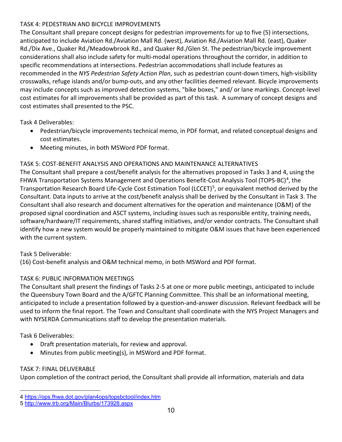# TASK 4: PEDESTRIAN AND BICYCLE IMPROVEMENTS

The Consultant shall prepare concept designs for pedestrian improvements for up to five (5) intersections, anticipated to include Aviation Rd./Aviation Mall Rd. (west), Aviation Rd./Aviation Mall Rd. (east), Quaker Rd./Dix Ave., Quaker Rd./Meadowbrook Rd., and Quaker Rd./Glen St. The pedestrian/bicycle improvement considerations shall also include safety for multi-modal operations throughout the corridor, in addition to specific recommendations at intersections. Pedestrian accommodations shall include features as recommended in the *NYS Pedestrian Safety Action Plan*, such as pedestrian count-down timers, high-visibility crosswalks, refuge islands and/or bump-outs, and any other facilities deemed relevant. Bicycle improvements may include concepts such as improved detection systems, "bike boxes," and/ or lane markings. Concept-level cost estimates for all improvements shall be provided as part of this task. A summary of concept designs and cost estimates shall presented to the PSC.

Task 4 Deliverables:

- Pedestrian/bicycle improvements technical memo, in PDF format, and related conceptual designs and cost estimates.
- Meeting minutes, in both MSWord PDF format.

# TASK 5: COST-BENEFIT ANALYSIS AND OPERATIONS AND MAINTENANCE ALTERNATIVES

The Consultant shall prepare a cost/benefit analysis for the alternatives proposed in Tasks 3 and 4, using the FHWA Transportation Systems Management and Operations Benefit-Cost Analysis Tool (TOPS-BC)<sup>4</sup>, the Transportation Research Board Life-Cycle Cost Estimation Tool (LCCET)<sup>[5](#page-9-1)</sup>, or equivalent method derived by the Consultant. Data inputs to arrive at the cost/benefit analysis shall be derived by the Consultant in Task 3. The Consultant shall also research and document alternatives for the operation and maintenance (O&M) of the proposed signal coordination and ASCT systems, including issues such as responsible entity, training needs, software/hardware/IT requirements, shared staffing initiatives, and/or vendor contracts. The Consultant shall identify how a new system would be properly maintained to mitigate O&M issues that have been experienced with the current system.

# Task 5 Deliverable:

(16) Cost-benefit analysis and O&M technical memo, in both MSWord and PDF format.

# TASK 6: PUBLIC INFORMATION MEETINGS

The Consultant shall present the findings of Tasks 2-5 at one or more public meetings, anticipated to include the Queensbury Town Board and the A/GFTC Planning Committee. This shall be an informational meeting, anticipated to include a presentation followed by a question-and-answer discussion. Relevant feedback will be used to inform the final report. The Town and Consultant shall coordinate with the NYS Project Managers and with NYSERDA Communications staff to develop the presentation materials.

Task 6 Deliverables:

- Draft presentation materials, for review and approval.
- Minutes from public meeting(s), in MSWord and PDF format.

# TASK 7: FINAL DELIVERABLE

Upon completion of the contract period, the Consultant shall provide all information, materials and data

<span id="page-9-0"></span> $\overline{a}$ 4 <https://ops.fhwa.dot.gov/plan4ops/topsbctool/index.htm>

<span id="page-9-1"></span><sup>5</sup> <http://www.trb.org/Main/Blurbs/173928.aspx>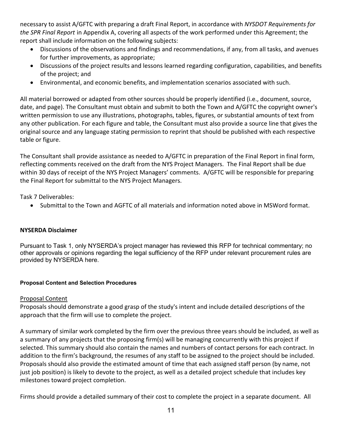<span id="page-10-1"></span>necessary to assist [A/](#page-10-1)GFTC with preparing a draft Final Report, in accordance with *NYSDOT Requirements for the SPR Final Report* in Appendix A, covering all aspects of the work performed under this Agreement; the report shall include information on the following subjects:

- Discussions of the observations and findings and recommendations, if any, from all tasks, and avenues for further improvements, as appropriate;
- Discussions of the project results and lessons learned regarding configuration, capabilities, and benefits of the project; and
- Environmental, and economic benefits, and implementation scenarios associated with such.

All material borrowed or adapted from other sources should be properly identified (i.e., document, source, date, and page). The Consultant must obtain and submit to both the Town and A/GFTC the copyright owner's written permission to use any illustrations, photographs, tables, figures, or substantial amounts of text from any other publication. For each figure and table, the Consultant must also provide a source line that gives the original source and any language stating permission to reprint that should be published with each respective table or figure.

The Consultant shall provide assistance as needed to A/GFTC in preparation of the Final Report in final form, reflecting comments received on the draft from the NYS Project Managers. The Final Report shall be due within 30 days of receipt of the NYS Project Managers' comments. A/GFTC will be responsible for preparing the Final Report for submittal to the NYS Project Managers.

Task 7 Deliverables:

• Submittal to the Town and AGFTC of all materials and information noted above in MSWord format.

## **NYSERDA Disclaimer**

Pursuant to Task 1, only NYSERDA's project manager has reviewed this RFP for technical commentary; no other approvals or opinions regarding the legal sufficiency of the RFP under relevant procurement rules are provided by NYSERDA here.

## <span id="page-10-0"></span>**Proposal Content and Selection Procedures**

## Proposal Content

Proposals should demonstrate a good grasp of the study's intent and include detailed descriptions of the approach that the firm will use to complete the project.

A summary of similar work completed by the firm over the previous three years should be included, as well as a summary of any projects that the proposing firm(s) will be managing concurrently with this project if selected. This summary should also contain the names and numbers of contact persons for each contract. In addition to the firm's background, the resumes of any staff to be assigned to the project should be included. Proposals should also provide the estimated amount of time that each assigned staff person (by name, not just job position) is likely to devote to the project, as well as a detailed project schedule that includes key milestones toward project completion.

Firms should provide a detailed summary of their cost to complete the project in a separate document. All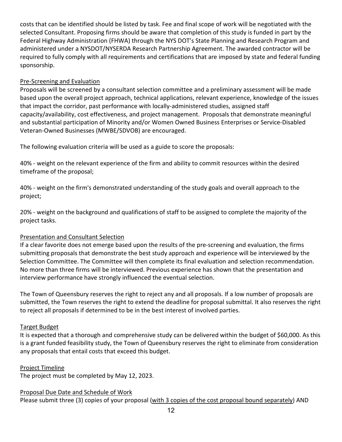costs that can be identified should be listed by task. Fee and final scope of work will be negotiated with the selected Consultant. Proposing firms should be aware that completion of this study is funded in part by the Federal Highway Administration (FHWA) through the NYS DOT's State Planning and Research Program and administered under a NYSDOT/NYSERDA Research Partnership Agreement. The awarded contractor will be required to fully comply with all requirements and certifications that are imposed by state and federal funding sponsorship.

## Pre-Screening and Evaluation

Proposals will be screened by a consultant selection committee and a preliminary assessment will be made based upon the overall project approach, technical applications, relevant experience, knowledge of the issues that impact the corridor, past performance with locally-administered studies, assigned staff capacity/availability, cost effectiveness, and project management. Proposals that demonstrate meaningful and substantial participation of Minority and/or Women Owned Business Enterprises or Service-Disabled Veteran-Owned Businesses (MWBE/SDVOB) are encouraged.

The following evaluation criteria will be used as a guide to score the proposals:

40% - weight on the relevant experience of the firm and ability to commit resources within the desired timeframe of the proposal;

40% - weight on the firm's demonstrated understanding of the study goals and overall approach to the project;

20% - weight on the background and qualifications of staff to be assigned to complete the majority of the project tasks.

# Presentation and Consultant Selection

If a clear favorite does not emerge based upon the results of the pre-screening and evaluation, the firms submitting proposals that demonstrate the best study approach and experience will be interviewed by the Selection Committee. The Committee will then complete its final evaluation and selection recommendation. No more than three firms will be interviewed. Previous experience has shown that the presentation and interview performance have strongly influenced the eventual selection.

The Town of Queensbury reserves the right to reject any and all proposals. If a low number of proposals are submitted, the Town reserves the right to extend the deadline for proposal submittal. It also reserves the right to reject all proposals if determined to be in the best interest of involved parties.

## Target Budget

It is expected that a thorough and comprehensive study can be delivered within the budget of \$60,000. As this is a grant funded feasibility study, the Town of Queensbury reserves the right to eliminate from consideration any proposals that entail costs that exceed this budget.

## Project Timeline

The project must be completed by May 12, 2023.

# Proposal Due Date and Schedule of Work

Please submit three (3) copies of your proposal (with 3 copies of the cost proposal bound separately) AND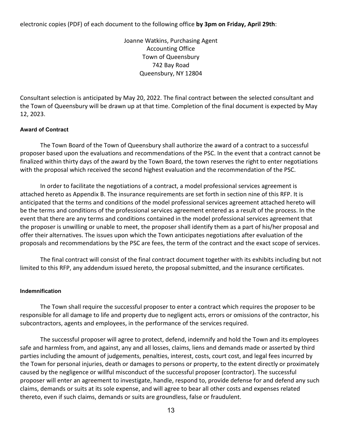electronic copies (PDF) of each document to the following office **by 3pm on Friday, April 29th**:

Joanne Watkins, Purchasing Agent Accounting Office Town of Queensbury 742 Bay Road Queensbury, NY 12804

Consultant selection is anticipated by May 20, 2022. The final contract between the selected consultant and the Town of Queensbury will be drawn up at that time. Completion of the final document is expected by May 12, 2023.

#### <span id="page-12-0"></span>**Award of Contract**

The Town Board of the Town of Queensbury shall authorize the award of a contract to a successful proposer based upon the evaluations and recommendations of the PSC. In the event that a contract cannot be finalized within thirty days of the award by the Town Board, the town reserves the right to enter negotiations with the proposal which received the second highest evaluation and the recommendation of the PSC.

In order to facilitate the negotiations of a contract, a model professional services agreement is attached hereto as Appendix B. The insurance requirements are set forth in section nine of this RFP. It is anticipated that the terms and conditions of the model professional services agreement attached hereto will be the terms and conditions of the professional services agreement entered as a result of the process. In the event that there are any terms and conditions contained in the model professional services agreement that the proposer is unwilling or unable to meet, the proposer shall identify them as a part of his/her proposal and offer their alternatives. The issues upon which the Town anticipates negotiations after evaluation of the proposals and recommendations by the PSC are fees, the term of the contract and the exact scope of services.

The final contract will consist of the final contract document together with its exhibits including but not limited to this RFP, any addendum issued hereto, the proposal submitted, and the insurance certificates.

#### <span id="page-12-1"></span>**Indemnification**

The Town shall require the successful proposer to enter a contract which requires the proposer to be responsible for all damage to life and property due to negligent acts, errors or omissions of the contractor, his subcontractors, agents and employees, in the performance of the services required.

The successful proposer will agree to protect, defend, indemnify and hold the Town and its employees safe and harmless from, and against, any and all losses, claims, liens and demands made or asserted by third parties including the amount of judgements, penalties, interest, costs, court cost, and legal fees incurred by the Town for personal injuries, death or damages to persons or property, to the extent directly or proximately caused by the negligence or willful misconduct of the successful proposer (contractor). The successful proposer will enter an agreement to investigate, handle, respond to, provide defense for and defend any such claims, demands or suits at its sole expense, and will agree to bear all other costs and expenses related thereto, even if such claims, demands or suits are groundless, false or fraudulent.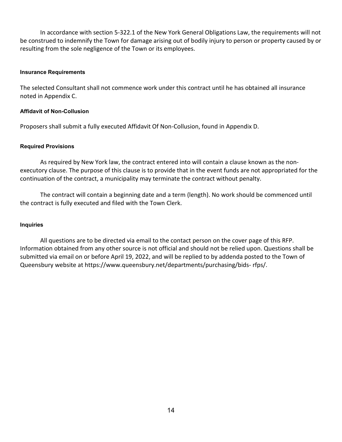In accordance with section 5-322.1 of the New York General Obligations Law, the requirements will not be construed to indemnify the Town for damage arising out of bodily injury to person or property caused by or resulting from the sole negligence of the Town or its employees.

#### <span id="page-13-0"></span>**Insurance Requirements**

The selected Consultant shall not commence work under this contract until he has obtained all insurance noted in Appendix C.

#### <span id="page-13-1"></span>**Affidavit of Non-Collusion**

Proposers shall submit a fully executed Affidavit Of Non-Collusion, found in Appendix D.

#### <span id="page-13-2"></span>**Required Provisions**

As required by New York law, the contract entered into will contain a clause known as the nonexecutory clause. The purpose of this clause is to provide that in the event funds are not appropriated for the continuation of the contract, a municipality may terminate the contract without penalty.

The contract will contain a beginning date and a term (length). No work should be commenced until the contract is fully executed and filed with the Town Clerk.

#### <span id="page-13-3"></span>**Inquiries**

All questions are to be directed via email to the contact person on the cover page of this RFP. Information obtained from any other source is not official and should not be relied upon. Questions shall be submitted via email on or before April 19, 2022, and will be replied to by addenda posted to the Town of Queensbury website at https://www.queensbury.net/departments/purchasing/bids- rfps/.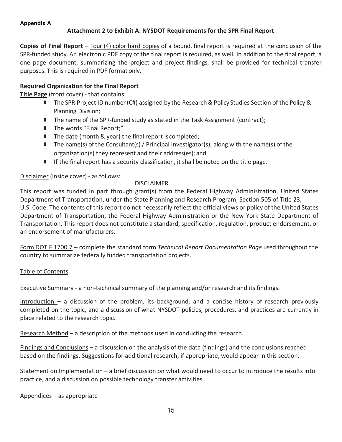#### <span id="page-14-0"></span>**Appendix A**

## **Attachment 2 to Exhibit A: NYSDOT Requirements for the SPR Final Report**

**Copies of Final Report** – Four (4) color hard copies of a bound, final report is required at the conclusion of the SPR-funded study. An electronic PDF copy of the final report is required, as well. In addition to the final report, a one page document, summarizing the project and project findings, shall be provided for technical transfer purposes. This is required in PDF format only.

## **Required Organization for the Final Report**

**Title Page** (front cover) - that contains:

- The SPR Project ID number (C#) assigned by the Research & Policy Studies Section of the Policy & Planning Division;
- The name of the SPR-funded study as stated in the Task Assignment (contract);
- The words "Final Report;"
- The date (month & year) the final report is completed;
- $\blacksquare$  The name(s) of the Consultant(s) / Principal Investigator(s), along with the name(s) of the organization(s) they represent and their address(es); and,
- $\blacksquare$  If the final report has a security classification, it shall be noted on the title page.

Disclaimer (inside cover) - as follows:

#### DISCLAIMER

This report was funded in part through grant(s) from the Federal Highway Administration, United States Department of Transportation, under the State Planning and Research Program, Section 505 of Title 23, U.S. Code. The contents of this report do not necessarily reflect the official views or policy of the United States Department of Transportation, the Federal Highway Administration or the New York State Department of Transportation. This report does not constitute a standard, specification, regulation, product endorsement, or an endorsement of manufacturers.

Form DOT F 1700.7 – complete the standard form *Technical Report Documentation Page* used throughout the country to summarize federally funded transportation projects.

#### Table of Contents

Executive Summary - a non-technical summary of the planning and/or research and its findings.

Introduction – a discussion of the problem, its background, and a concise history of research previously completed on the topic, and a discussion of what NYSDOT policies, procedures, and practices are currently in place related to the research topic.

Research Method – a description of the methods used in conducting the research.

Findings and Conclusions – a discussion on the analysis of the data (findings) and the conclusions reached based on the findings. Suggestions for additional research, if appropriate, would appear in this section.

Statement on Implementation – a brief discussion on what would need to occur to introduce the results into practice, and a discussion on possible technology transfer activities.

Appendices – as appropriate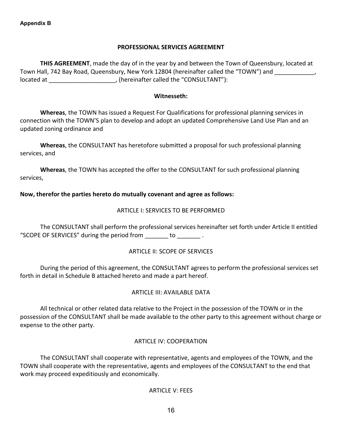#### **PROFESSIONAL SERVICES AGREEMENT**

<span id="page-15-0"></span>**THIS AGREEMENT**, made the day of in the year by and between the Town of Queensbury, located at Town Hall, 742 Bay Road, Queensbury, New York 12804 (hereinafter called the "TOWN") and located at \_\_\_\_\_\_\_\_\_\_\_\_\_\_\_\_\_\_\_\_, (hereinafter called the "CONSULTANT"):

#### **Witnesseth:**

**Whereas**, the TOWN has issued a Request For Qualifications for professional planning services in connection with the TOWN'S plan to develop and adopt an updated Comprehensive Land Use Plan and an updated zoning ordinance and

**Whereas**, the CONSULTANT has heretofore submitted a proposal for such professional planning services, and

**Whereas**, the TOWN has accepted the offer to the CONSULTANT for such professional planning services,

#### **Now, therefor the parties hereto do mutually covenant and agree as follows:**

#### ARTICLE I: SERVICES TO BE PERFORMED

The CONSULTANT shall perform the professional services hereinafter set forth under Article II entitled "SCOPE OF SERVICES" during the period from \_\_\_\_\_\_\_ to \_\_\_\_\_\_\_ .

#### ARTICLE II: SCOPE OF SERVICES

During the period of this agreement, the CONSULTANT agrees to perform the professional services set forth in detail in Schedule B attached hereto and made a part hereof.

#### ARTICLE III: AVAILABLE DATA

All technical or other related data relative to the Project in the possession of the TOWN or in the possession of the CONSULTANT shall be made available to the other party to this agreement without charge or expense to the other party.

#### ARTICLE IV: COOPERATION

The CONSULTANT shall cooperate with representative, agents and employees of the TOWN, and the TOWN shall cooperate with the representative, agents and employees of the CONSULTANT to the end that work may proceed expeditiously and economically.

#### ARTICLE V: FEES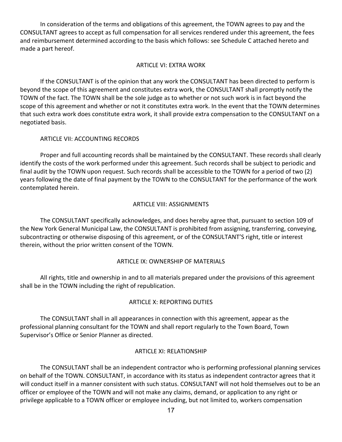In consideration of the terms and obligations of this agreement, the TOWN agrees to pay and the CONSULTANT agrees to accept as full compensation for all services rendered under this agreement, the fees and reimbursement determined according to the basis which follows: see Schedule C attached hereto and made a part hereof.

#### ARTICLE VI: EXTRA WORK

If the CONSULTANT is of the opinion that any work the CONSULTANT has been directed to perform is beyond the scope of this agreement and constitutes extra work, the CONSULTANT shall promptly notify the TOWN of the fact. The TOWN shall be the sole judge as to whether or not such work is in fact beyond the scope of this agreement and whether or not it constitutes extra work. In the event that the TOWN determines that such extra work does constitute extra work, it shall provide extra compensation to the CONSULTANT on a negotiated basis.

## ARTICLE VII: ACCOUNTING RECORDS

Proper and full accounting records shall be maintained by the CONSULTANT. These records shall clearly identify the costs of the work performed under this agreement. Such records shall be subject to periodic and final audit by the TOWN upon request. Such records shall be accessible to the TOWN for a period of two (2) years following the date of final payment by the TOWN to the CONSULTANT for the performance of the work contemplated herein.

## ARTICLE VIII: ASSIGNMENTS

The CONSULTANT specifically acknowledges, and does hereby agree that, pursuant to section 109 of the New York General Municipal Law, the CONSULTANT is prohibited from assigning, transferring, conveying, subcontracting or otherwise disposing of this agreement, or of the CONSULTANT'S right, title or interest therein, without the prior written consent of the TOWN.

#### ARTICLE IX: OWNERSHIP OF MATERIALS

All rights, title and ownership in and to all materials prepared under the provisions of this agreement shall be in the TOWN including the right of republication.

#### ARTICLE X: REPORTING DUTIES

The CONSULTANT shall in all appearances in connection with this agreement, appear as the professional planning consultant for the TOWN and shall report regularly to the Town Board, Town Supervisor's Office or Senior Planner as directed.

#### ARTICLE XI: RELATIONSHIP

The CONSULTANT shall be an independent contractor who is performing professional planning services on behalf of the TOWN. CONSULTANT, in accordance with its status as independent contractor agrees that it will conduct itself in a manner consistent with such status. CONSULTANT will not hold themselves out to be an officer or employee of the TOWN and will not make any claims, demand, or application to any right or privilege applicable to a TOWN officer or employee including, but not limited to, workers compensation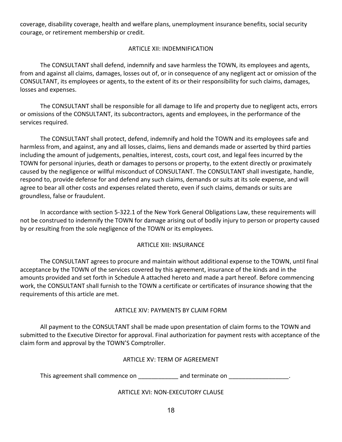coverage, disability coverage, health and welfare plans, unemployment insurance benefits, social security courage, or retirement membership or credit.

## ARTICLE XII: INDEMNIFICATION

The CONSULTANT shall defend, indemnify and save harmless the TOWN, its employees and agents, from and against all claims, damages, losses out of, or in consequence of any negligent act or omission of the CONSULTANT, its employees or agents, to the extent of its or their responsibility for such claims, damages, losses and expenses.

The CONSULTANT shall be responsible for all damage to life and property due to negligent acts, errors or omissions of the CONSULTANT, its subcontractors, agents and employees, in the performance of the services required.

The CONSULTANT shall protect, defend, indemnify and hold the TOWN and its employees safe and harmless from, and against, any and all losses, claims, liens and demands made or asserted by third parties including the amount of judgements, penalties, interest, costs, court cost, and legal fees incurred by the TOWN for personal injuries, death or damages to persons or property, to the extent directly or proximately caused by the negligence or willful misconduct of CONSULTANT. The CONSULTANT shall investigate, handle, respond to, provide defense for and defend any such claims, demands or suits at its sole expense, and will agree to bear all other costs and expenses related thereto, even if such claims, demands or suits are groundless, false or fraudulent.

In accordance with section 5-322.1 of the New York General Obligations Law, these requirements will not be construed to indemnify the TOWN for damage arising out of bodily injury to person or property caused by or resulting from the sole negligence of the TOWN or its employees.

## ARTICLE XIII: INSURANCE

The CONSULTANT agrees to procure and maintain without additional expense to the TOWN, until final acceptance by the TOWN of the services covered by this agreement, insurance of the kinds and in the amounts provided and set forth in Schedule A attached hereto and made a part hereof. Before commencing work, the CONSULTANT shall furnish to the TOWN a certificate or certificates of insurance showing that the requirements of this article are met.

#### ARTICLE XIV: PAYMENTS BY CLAIM FORM

All payment to the CONSULTANT shall be made upon presentation of claim forms to the TOWN and submitted to the Executive Director for approval. Final authorization for payment rests with acceptance of the claim form and approval by the TOWN'S Comptroller.

#### ARTICLE XV: TERM OF AGREEMENT

This agreement shall commence on \_\_\_\_\_\_\_\_\_\_\_\_\_ and terminate on \_\_\_\_\_\_\_\_\_\_\_\_\_\_\_\_\_

#### ARTICLE XVI: NON-EXECUTORY CLAUSE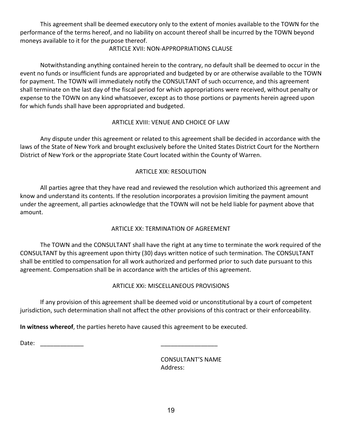This agreement shall be deemed executory only to the extent of monies available to the TOWN for the performance of the terms hereof, and no liability on account thereof shall be incurred by the TOWN beyond moneys available to it for the purpose thereof.

## ARTICLE XVII: NON-APPROPRIATIONS CLAUSE

Notwithstanding anything contained herein to the contrary, no default shall be deemed to occur in the event no funds or insufficient funds are appropriated and budgeted by or are otherwise available to the TOWN for payment. The TOWN will immediately notify the CONSULTANT of such occurrence, and this agreement shall terminate on the last day of the fiscal period for which appropriations were received, without penalty or expense to the TOWN on any kind whatsoever, except as to those portions or payments herein agreed upon for which funds shall have been appropriated and budgeted.

# ARTICLE XVIII: VENUE AND CHOICE OF LAW

Any dispute under this agreement or related to this agreement shall be decided in accordance with the laws of the State of New York and brought exclusively before the United States District Court for the Northern District of New York or the appropriate State Court located within the County of Warren.

# ARTICLE XIX: RESOLUTION

All parties agree that they have read and reviewed the resolution which authorized this agreement and know and understand its contents. If the resolution incorporates a provision limiting the payment amount under the agreement, all parties acknowledge that the TOWN will not be held liable for payment above that amount.

# ARTICLE XX: TERMINATION OF AGREEMENT

The TOWN and the CONSULTANT shall have the right at any time to terminate the work required of the CONSULTANT by this agreement upon thirty (30) days written notice of such termination. The CONSULTANT shall be entitled to compensation for all work authorized and performed prior to such date pursuant to this agreement. Compensation shall be in accordance with the articles of this agreement.

# ARTICLE XXi: MISCELLANEOUS PROVISIONS

If any provision of this agreement shall be deemed void or unconstitutional by a court of competent jurisdiction, such determination shall not affect the other provisions of this contract or their enforceability.

**In witness whereof**, the parties hereto have caused this agreement to be executed.

Date: \_\_\_\_\_\_\_\_\_\_\_\_\_ \_\_\_\_\_\_\_\_\_\_\_\_\_\_\_\_\_

CONSULTANT'S NAME Address: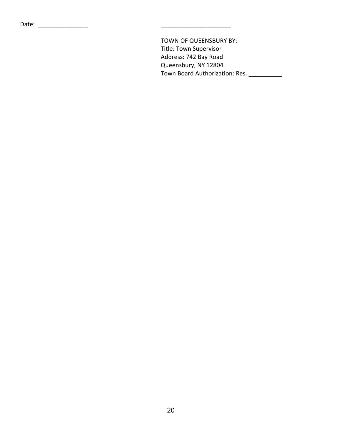TOWN OF QUEENSBURY BY: Title: Town Supervisor Address: 742 Bay Road Queensbury, NY 12804 Town Board Authorization: Res. \_\_\_\_\_\_\_\_\_\_\_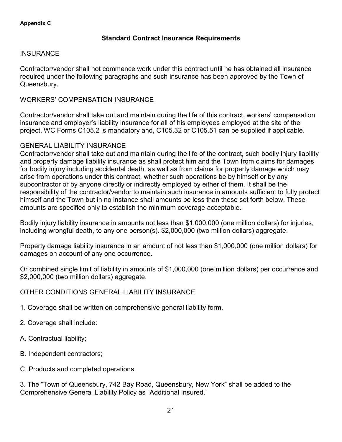# **Standard Contract Insurance Requirements**

## <span id="page-20-0"></span>**INSURANCE**

Contractor/vendor shall not commence work under this contract until he has obtained all insurance required under the following paragraphs and such insurance has been approved by the Town of Queensbury.

# WORKERS' COMPENSATION INSURANCE

Contractor/vendor shall take out and maintain during the life of this contract, workers' compensation insurance and employer's liability insurance for all of his employees employed at the site of the project. WC Forms C105.2 is mandatory and, C105.32 or C105.51 can be supplied if applicable.

# GENERAL LIABILITY INSURANCE

Contractor/vendor shall take out and maintain during the life of the contract, such bodily injury liability and property damage liability insurance as shall protect him and the Town from claims for damages for bodily injury including accidental death, as well as from claims for property damage which may arise from operations under this contract, whether such operations be by himself or by any subcontractor or by anyone directly or indirectly employed by either of them. It shall be the responsibility of the contractor/vendor to maintain such insurance in amounts sufficient to fully protect himself and the Town but in no instance shall amounts be less than those set forth below. These amounts are specified only to establish the minimum coverage acceptable.

Bodily injury liability insurance in amounts not less than \$1,000,000 (one million dollars) for injuries, including wrongful death, to any one person(s). \$2,000,000 (two million dollars) aggregate.

Property damage liability insurance in an amount of not less than \$1,000,000 (one million dollars) for damages on account of any one occurrence.

Or combined single limit of liability in amounts of \$1,000,000 (one million dollars) per occurrence and \$2,000,000 (two million dollars) aggregate.

# OTHER CONDITIONS GENERAL LIABILITY INSURANCE

- 1. Coverage shall be written on comprehensive general liability form.
- 2. Coverage shall include:
- A. Contractual liability;
- B. Independent contractors;
- C. Products and completed operations.

3. The "Town of Queensbury, 742 Bay Road, Queensbury, New York" shall be added to the Comprehensive General Liability Policy as "Additional Insured."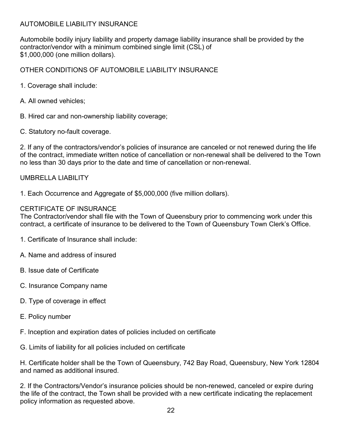# AUTOMOBILE LIABILITY INSURANCE

Automobile bodily injury liability and property damage liability insurance shall be provided by the contractor/vendor with a minimum combined single limit (CSL) of \$1,000,000 (one million dollars).

OTHER CONDITIONS OF AUTOMOBILE LIABILITY INSURANCE

- 1. Coverage shall include:
- A. All owned vehicles;
- B. Hired car and non-ownership liability coverage;
- C. Statutory no-fault coverage.

2. If any of the contractors/vendor's policies of insurance are canceled or not renewed during the life of the contract, immediate written notice of cancellation or non-renewal shall be delivered to the Town no less than 30 days prior to the date and time of cancellation or non-renewal.

# UMBRELLA LIABILITY

1. Each Occurrence and Aggregate of \$5,000,000 (five million dollars).

# CERTIFICATE OF INSURANCE

The Contractor/vendor shall file with the Town of Queensbury prior to commencing work under this contract, a certificate of insurance to be delivered to the Town of Queensbury Town Clerk's Office.

- 1. Certificate of Insurance shall include:
- A. Name and address of insured
- B. Issue date of Certificate
- C. Insurance Company name
- D. Type of coverage in effect
- E. Policy number
- F. Inception and expiration dates of policies included on certificate
- G. Limits of liability for all policies included on certificate

H. Certificate holder shall be the Town of Queensbury, 742 Bay Road, Queensbury, New York 12804 and named as additional insured.

2. If the Contractors/Vendor's insurance policies should be non-renewed, canceled or expire during the life of the contract, the Town shall be provided with a new certificate indicating the replacement policy information as requested above.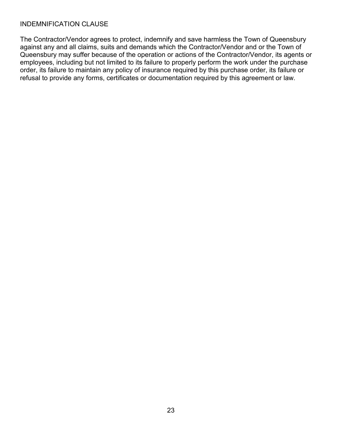# INDEMNIFICATION CLAUSE

The Contractor/Vendor agrees to protect, indemnify and save harmless the Town of Queensbury against any and all claims, suits and demands which the Contractor/Vendor and or the Town of Queensbury may suffer because of the operation or actions of the Contractor/Vendor, its agents or employees, including but not limited to its failure to properly perform the work under the purchase order, its failure to maintain any policy of insurance required by this purchase order, its failure or refusal to provide any forms, certificates or documentation required by this agreement or law.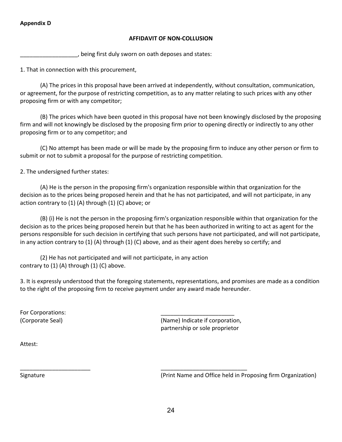#### <span id="page-23-0"></span>**Appendix D**

#### **AFFIDAVIT OF NON-COLLUSION**

\_\_\_\_\_\_\_\_\_\_\_\_\_\_\_\_\_\_, being first duly sworn on oath deposes and states:

1. That in connection with this procurement,

(A) The prices in this proposal have been arrived at independently, without consultation, communication, or agreement, for the purpose of restricting competition, as to any matter relating to such prices with any other proposing firm or with any competitor;

(B) The prices which have been quoted in this proposal have not been knowingly disclosed by the proposing firm and will not knowingly be disclosed by the proposing firm prior to opening directly or indirectly to any other proposing firm or to any competitor; and

(C) No attempt has been made or will be made by the proposing firm to induce any other person or firm to submit or not to submit a proposal for the purpose of restricting competition.

2. The undersigned further states:

(A) He is the person in the proposing firm's organization responsible within that organization for the decision as to the prices being proposed herein and that he has not participated, and will not participate, in any action contrary to (1) (A) through (1) (C) above; or

(B) (i) He is not the person in the proposing firm's organization responsible within that organization for the decision as to the prices being proposed herein but that he has been authorized in writing to act as agent for the persons responsible for such decision in certifying that such persons have not participated, and will not participate, in any action contrary to (1) (A) through (1) (C) above, and as their agent does hereby so certify; and

(2) He has not participated and will not participate, in any action contrary to  $(1)$   $(A)$  through  $(1)$   $(C)$  above.

\_\_\_\_\_\_\_\_\_\_\_\_\_\_\_\_\_\_\_\_\_\_ \_\_\_\_\_\_\_\_\_\_\_\_\_\_\_\_\_\_\_\_\_\_\_\_\_\_\_

3. It is expressly understood that the foregoing statements, representations, and promises are made as a condition to the right of the proposing firm to receive payment under any award made hereunder.

For Corporations:

(Corporate Seal) (Name) Indicate if corporation, partnership or sole proprietor

Attest:

Signature (Print Name and Office held in Proposing firm Organization)